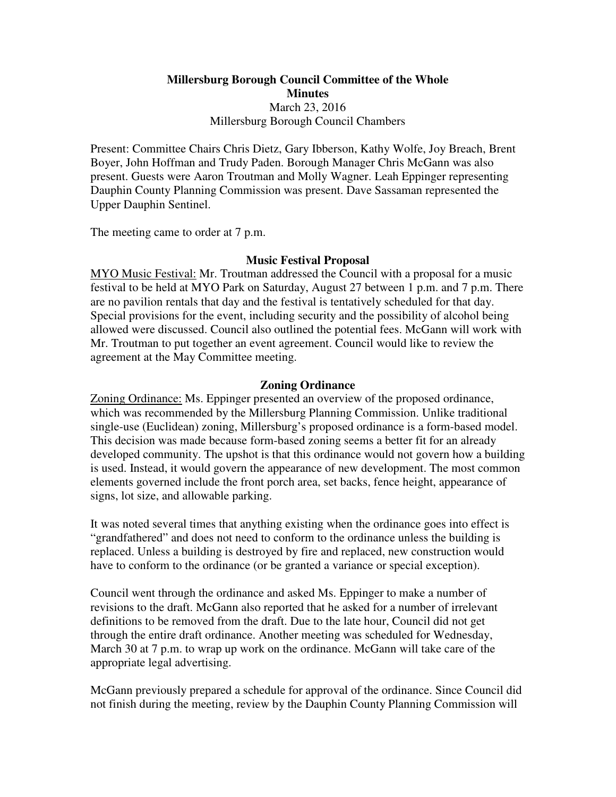# **Millersburg Borough Council Committee of the Whole Minutes**  March 23, 2016 Millersburg Borough Council Chambers

Present: Committee Chairs Chris Dietz, Gary Ibberson, Kathy Wolfe, Joy Breach, Brent Boyer, John Hoffman and Trudy Paden. Borough Manager Chris McGann was also present. Guests were Aaron Troutman and Molly Wagner. Leah Eppinger representing Dauphin County Planning Commission was present. Dave Sassaman represented the Upper Dauphin Sentinel.

The meeting came to order at 7 p.m.

# **Music Festival Proposal**

MYO Music Festival: Mr. Troutman addressed the Council with a proposal for a music festival to be held at MYO Park on Saturday, August 27 between 1 p.m. and 7 p.m. There are no pavilion rentals that day and the festival is tentatively scheduled for that day. Special provisions for the event, including security and the possibility of alcohol being allowed were discussed. Council also outlined the potential fees. McGann will work with Mr. Troutman to put together an event agreement. Council would like to review the agreement at the May Committee meeting.

### **Zoning Ordinance**

Zoning Ordinance: Ms. Eppinger presented an overview of the proposed ordinance, which was recommended by the Millersburg Planning Commission. Unlike traditional single-use (Euclidean) zoning, Millersburg's proposed ordinance is a form-based model. This decision was made because form-based zoning seems a better fit for an already developed community. The upshot is that this ordinance would not govern how a building is used. Instead, it would govern the appearance of new development. The most common elements governed include the front porch area, set backs, fence height, appearance of signs, lot size, and allowable parking.

It was noted several times that anything existing when the ordinance goes into effect is "grandfathered" and does not need to conform to the ordinance unless the building is replaced. Unless a building is destroyed by fire and replaced, new construction would have to conform to the ordinance (or be granted a variance or special exception).

Council went through the ordinance and asked Ms. Eppinger to make a number of revisions to the draft. McGann also reported that he asked for a number of irrelevant definitions to be removed from the draft. Due to the late hour, Council did not get through the entire draft ordinance. Another meeting was scheduled for Wednesday, March 30 at 7 p.m. to wrap up work on the ordinance. McGann will take care of the appropriate legal advertising.

McGann previously prepared a schedule for approval of the ordinance. Since Council did not finish during the meeting, review by the Dauphin County Planning Commission will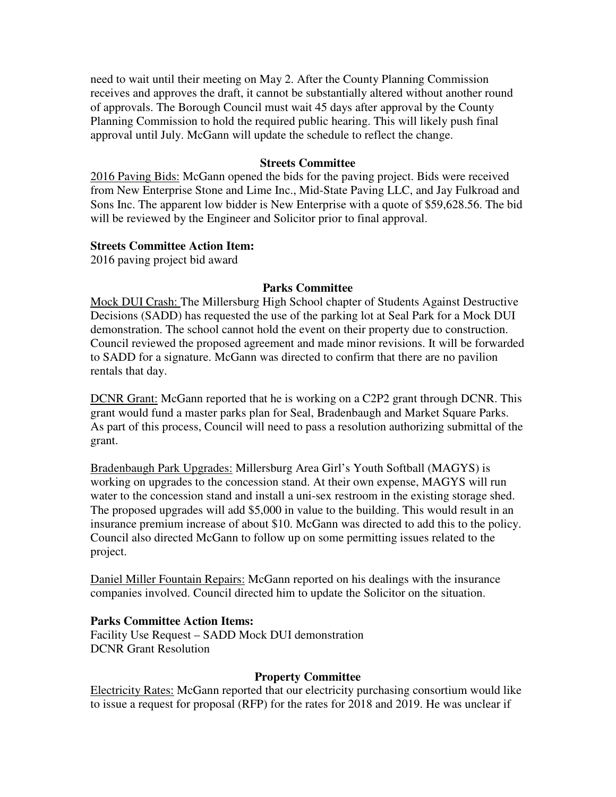need to wait until their meeting on May 2. After the County Planning Commission receives and approves the draft, it cannot be substantially altered without another round of approvals. The Borough Council must wait 45 days after approval by the County Planning Commission to hold the required public hearing. This will likely push final approval until July. McGann will update the schedule to reflect the change.

#### **Streets Committee**

2016 Paving Bids: McGann opened the bids for the paving project. Bids were received from New Enterprise Stone and Lime Inc., Mid-State Paving LLC, and Jay Fulkroad and Sons Inc. The apparent low bidder is New Enterprise with a quote of \$59,628.56. The bid will be reviewed by the Engineer and Solicitor prior to final approval.

### **Streets Committee Action Item:**

2016 paving project bid award

# **Parks Committee**

Mock DUI Crash: The Millersburg High School chapter of Students Against Destructive Decisions (SADD) has requested the use of the parking lot at Seal Park for a Mock DUI demonstration. The school cannot hold the event on their property due to construction. Council reviewed the proposed agreement and made minor revisions. It will be forwarded to SADD for a signature. McGann was directed to confirm that there are no pavilion rentals that day.

DCNR Grant: McGann reported that he is working on a C2P2 grant through DCNR. This grant would fund a master parks plan for Seal, Bradenbaugh and Market Square Parks. As part of this process, Council will need to pass a resolution authorizing submittal of the grant.

Bradenbaugh Park Upgrades: Millersburg Area Girl's Youth Softball (MAGYS) is working on upgrades to the concession stand. At their own expense, MAGYS will run water to the concession stand and install a uni-sex restroom in the existing storage shed. The proposed upgrades will add \$5,000 in value to the building. This would result in an insurance premium increase of about \$10. McGann was directed to add this to the policy. Council also directed McGann to follow up on some permitting issues related to the project.

Daniel Miller Fountain Repairs: McGann reported on his dealings with the insurance companies involved. Council directed him to update the Solicitor on the situation.

# **Parks Committee Action Items:**

Facility Use Request – SADD Mock DUI demonstration DCNR Grant Resolution

#### **Property Committee**

Electricity Rates: McGann reported that our electricity purchasing consortium would like to issue a request for proposal (RFP) for the rates for 2018 and 2019. He was unclear if